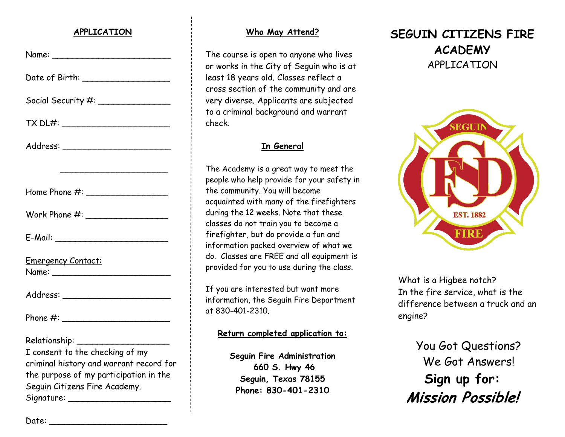### **APPLICATION**

| Date of Birth: ____________________                                                                                                                                               |
|-----------------------------------------------------------------------------------------------------------------------------------------------------------------------------------|
| Social Security #: _________________                                                                                                                                              |
|                                                                                                                                                                                   |
|                                                                                                                                                                                   |
| <u> 1980 - Johann Barbara, martin amerikan basar da</u>                                                                                                                           |
|                                                                                                                                                                                   |
|                                                                                                                                                                                   |
|                                                                                                                                                                                   |
| Emergency Contact:                                                                                                                                                                |
|                                                                                                                                                                                   |
|                                                                                                                                                                                   |
| Relationship: __________<br>I consent to the checking of my<br>criminal history and warrant record for<br>the purpose of my participation in the<br>Seguin Citizens Fire Academy. |

### **Who May Attend?**

The course is open to anyone who lives or works in the City of Seguin who is at least 18 years old. Classes reflect a cross section of the community and are very diverse. Applicants are subjected to a criminal background and warrant check.

### **In General**

The Academy is a great way to meet the people who help provide for your safety in the community. You will become acquainted with many of the firefighters during the 12 weeks. Note that these classes do not train you to become a firefighter, but do provide a fun and information packed overview of what we do. Classes are FREE and all equipment is provided for you to use during the class.

If you are interested but want more information, the Seguin Fire Department at 830-401-2310.

## **Return completed application to:**

**Seguin Fire Administration 660 S. Hwy 46 Seguin, Texas 78155 Phone: 830-401-2310**

# **SEGUIN CITIZENS FIRE ACADEMY** APPLICATION



What is a Higbee notch? In the fire service, what is the difference between a truck and an engine?

You Got Questions? We Got Answers! **Sign up for: Mission Possible!**

Date: